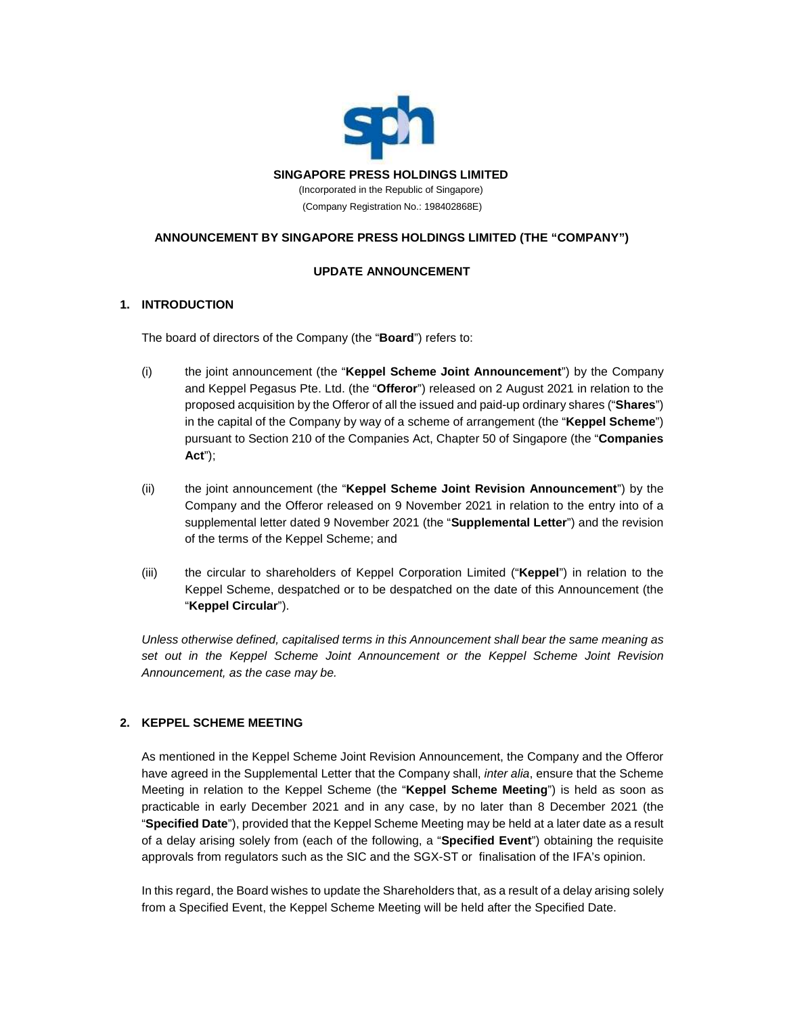

## **ANNOUNCEMENT BY SINGAPORE PRESS HOLDINGS LIMITED (THE "COMPANY")**

### **UPDATE ANNOUNCEMENT**

### **1. INTRODUCTION**

The board of directors of the Company (the "**Board**") refers to:

- (i) the joint announcement (the "**Keppel Scheme Joint Announcement**") by the Company and Keppel Pegasus Pte. Ltd. (the "**Offeror**") released on 2 August 2021 in relation to the proposed acquisition by the Offeror of all the issued and paid-up ordinary shares ("**Shares**") in the capital of the Company by way of a scheme of arrangement (the "**Keppel Scheme**") pursuant to Section 210 of the Companies Act, Chapter 50 of Singapore (the "**Companies Act**");
- (ii) the joint announcement (the "**Keppel Scheme Joint Revision Announcement**") by the Company and the Offeror released on 9 November 2021 in relation to the entry into of a supplemental letter dated 9 November 2021 (the "**Supplemental Letter**") and the revision of the terms of the Keppel Scheme; and
- (iii) the circular to shareholders of Keppel Corporation Limited ("**Keppel**") in relation to the Keppel Scheme, despatched or to be despatched on the date of this Announcement (the "**Keppel Circular**").

*Unless otherwise defined, capitalised terms in this Announcement shall bear the same meaning as set out in the Keppel Scheme Joint Announcement or the Keppel Scheme Joint Revision Announcement, as the case may be.*

## **2. KEPPEL SCHEME MEETING**

As mentioned in the Keppel Scheme Joint Revision Announcement, the Company and the Offeror have agreed in the Supplemental Letter that the Company shall, *inter alia*, ensure that the Scheme Meeting in relation to the Keppel Scheme (the "**Keppel Scheme Meeting**") is held as soon as practicable in early December 2021 and in any case, by no later than 8 December 2021 (the "**Specified Date**"), provided that the Keppel Scheme Meeting may be held at a later date as a result of a delay arising solely from (each of the following, a "**Specified Event**") obtaining the requisite approvals from regulators such as the SIC and the SGX-ST or finalisation of the IFA's opinion.

In this regard, the Board wishes to update the Shareholders that, as a result of a delay arising solely from a Specified Event, the Keppel Scheme Meeting will be held after the Specified Date.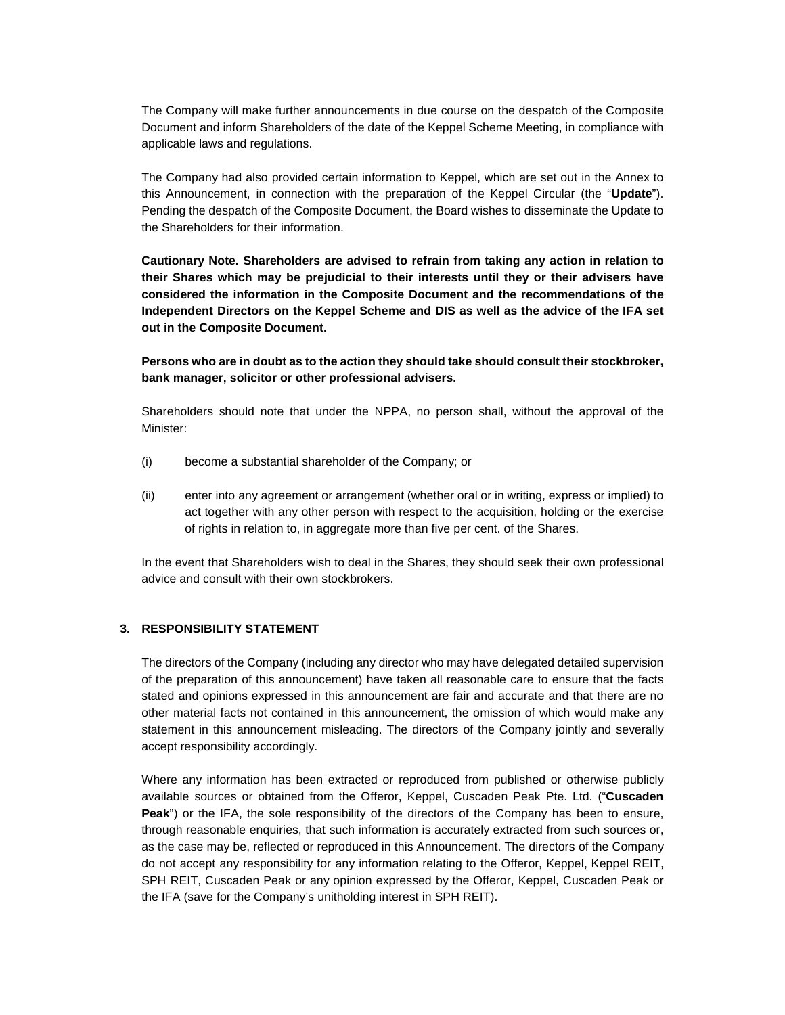The Company will make further announcements in due course on the despatch of the Composite Document and inform Shareholders of the date of the Keppel Scheme Meeting, in compliance with applicable laws and regulations.

The Company had also provided certain information to Keppel, which are set out in the Annex to this Announcement, in connection with the preparation of the Keppel Circular (the "**Update**"). Pending the despatch of the Composite Document, the Board wishes to disseminate the Update to the Shareholders for their information.

**Cautionary Note. Shareholders are advised to refrain from taking any action in relation to their Shares which may be prejudicial to their interests until they or their advisers have considered the information in the Composite Document and the recommendations of the Independent Directors on the Keppel Scheme and DIS as well as the advice of the IFA set out in the Composite Document.**

**Persons who are in doubt as to the action they should take should consult their stockbroker, bank manager, solicitor or other professional advisers.**

Shareholders should note that under the NPPA, no person shall, without the approval of the Minister:

- (i) become a substantial shareholder of the Company; or
- (ii) enter into any agreement or arrangement (whether oral or in writing, express or implied) to act together with any other person with respect to the acquisition, holding or the exercise of rights in relation to, in aggregate more than five per cent. of the Shares.

In the event that Shareholders wish to deal in the Shares, they should seek their own professional advice and consult with their own stockbrokers.

#### **3. RESPONSIBILITY STATEMENT**

The directors of the Company (including any director who may have delegated detailed supervision of the preparation of this announcement) have taken all reasonable care to ensure that the facts stated and opinions expressed in this announcement are fair and accurate and that there are no other material facts not contained in this announcement, the omission of which would make any statement in this announcement misleading. The directors of the Company jointly and severally accept responsibility accordingly.

Where any information has been extracted or reproduced from published or otherwise publicly available sources or obtained from the Offeror, Keppel, Cuscaden Peak Pte. Ltd. ("**Cuscaden Peak**") or the IFA, the sole responsibility of the directors of the Company has been to ensure, through reasonable enquiries, that such information is accurately extracted from such sources or, as the case may be, reflected or reproduced in this Announcement. The directors of the Company do not accept any responsibility for any information relating to the Offeror, Keppel, Keppel REIT, SPH REIT, Cuscaden Peak or any opinion expressed by the Offeror, Keppel, Cuscaden Peak or the IFA (save for the Company's unitholding interest in SPH REIT).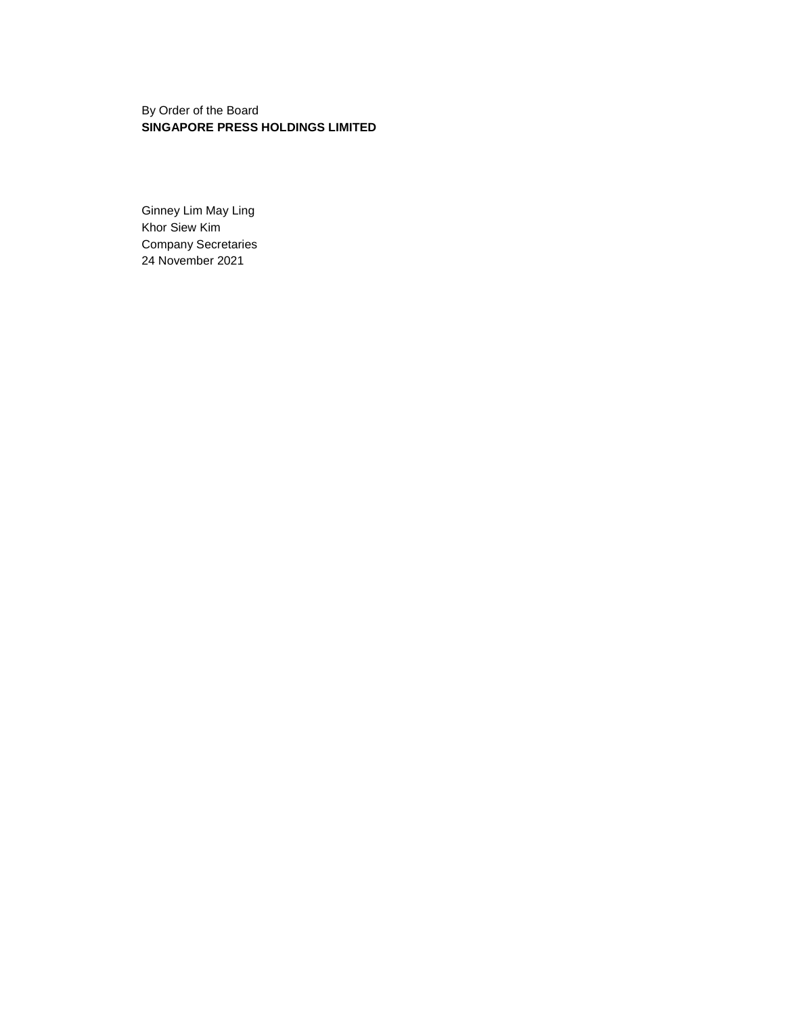By Order of the Board **SINGAPORE PRESS HOLDINGS LIMITED**

Ginney Lim May Ling Khor Siew Kim Company Secretaries 24 November 2021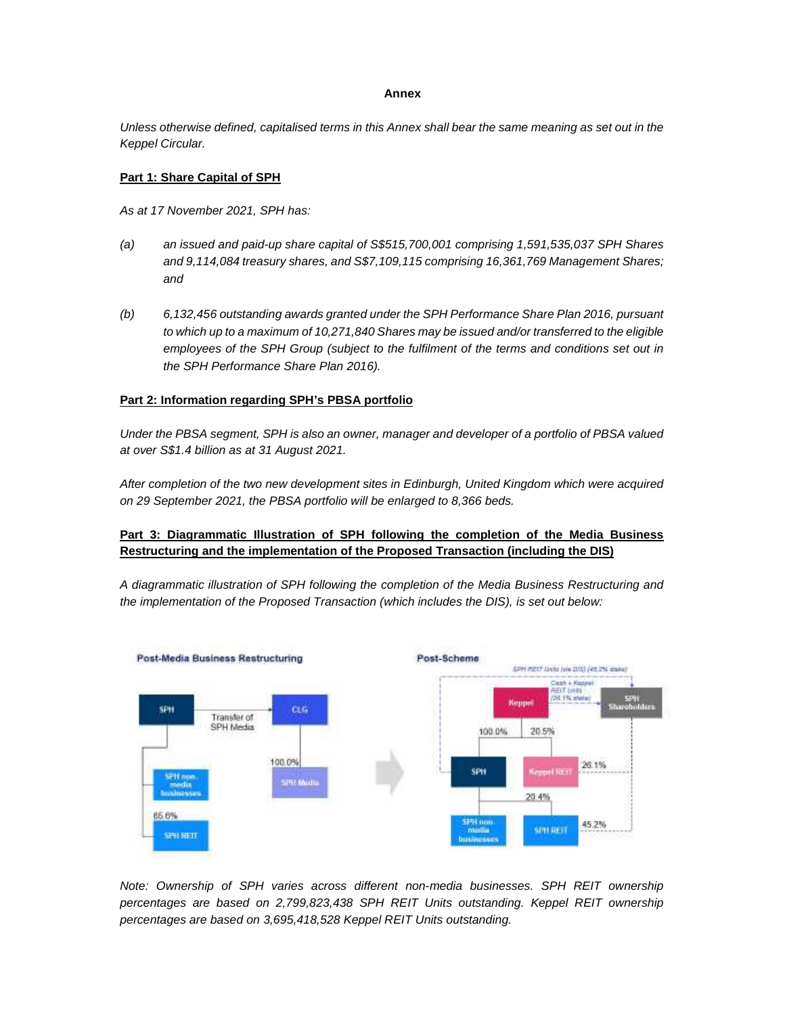#### **Annex**

*Unless otherwise defined, capitalised terms in this Annex shall bear the same meaning as set out in the Keppel Circular.*

#### **Part 1: Share Capital of SPH**

*As at 17 November 2021, SPH has:*

- *(a) an issued and paid-up share capital of S\$515,700,001 comprising 1,591,535,037 SPH Shares and 9,114,084 treasury shares, and S\$7,109,115 comprising 16,361,769 Management Shares; and*
- *(b) 6,132,456 outstanding awards granted under the SPH Performance Share Plan 2016, pursuant to which up to a maximum of 10,271,840 Shares may be issued and/or transferred to the eligible employees of the SPH Group (subject to the fulfilment of the terms and conditions set out in the SPH Performance Share Plan 2016).*

### **Part 2: Information regarding SPH's PBSA portfolio**

*Under the PBSA segment, SPH is also an owner, manager and developer of a portfolio of PBSA valued at over S\$1.4 billion as at 31 August 2021.*

*After completion of the two new development sites in Edinburgh, United Kingdom which were acquired on 29 September 2021, the PBSA portfolio will be enlarged to 8,366 beds.*

## **Part 3: Diagrammatic Illustration of SPH following the completion of the Media Business Restructuring and the implementation of the Proposed Transaction (including the DIS)**

*A diagrammatic illustration of SPH following the completion of the Media Business Restructuring and the implementation of the Proposed Transaction (which includes the DIS), is set out below:*



*Note: Ownership of SPH varies across different non-media businesses. SPH REIT ownership percentages are based on 2,799,823,438 SPH REIT Units outstanding. Keppel REIT ownership percentages are based on 3,695,418,528 Keppel REIT Units outstanding.*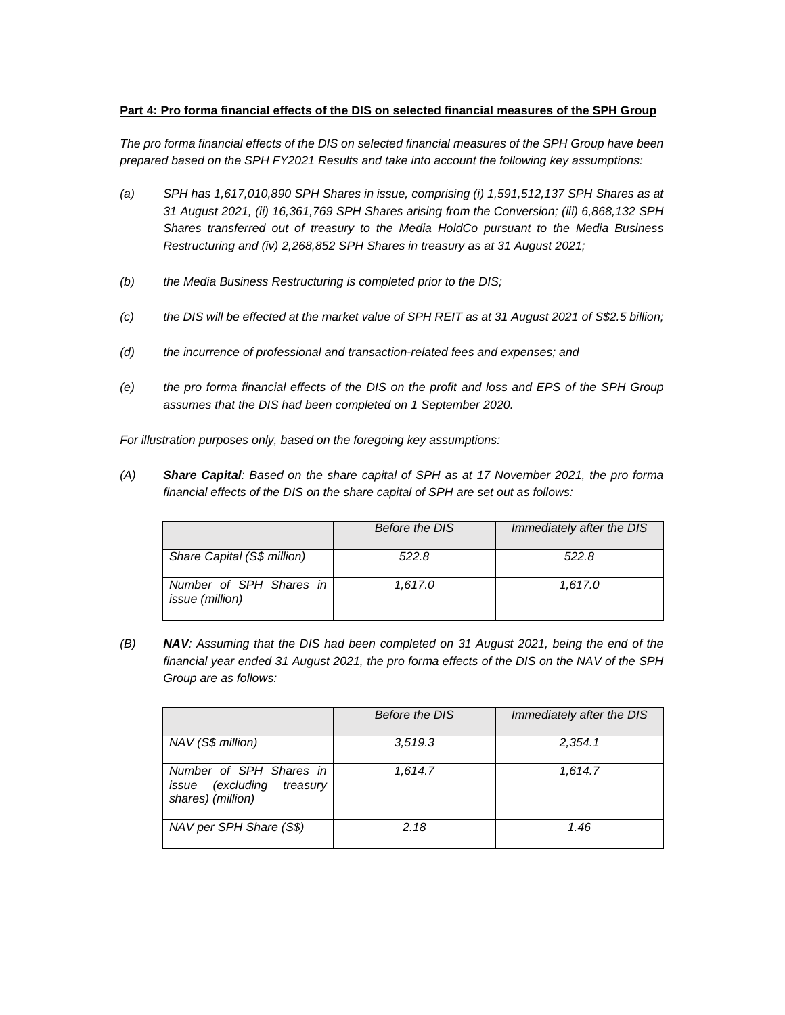# **Part 4: Pro forma financial effects of the DIS on selected financial measures of the SPH Group**

*The pro forma financial effects of the DIS on selected financial measures of the SPH Group have been prepared based on the SPH FY2021 Results and take into account the following key assumptions:*

- *(a) SPH has 1,617,010,890 SPH Shares in issue, comprising (i) 1,591,512,137 SPH Shares as at 31 August 2021, (ii) 16,361,769 SPH Shares arising from the Conversion; (iii) 6,868,132 SPH Shares transferred out of treasury to the Media HoldCo pursuant to the Media Business Restructuring and (iv) 2,268,852 SPH Shares in treasury as at 31 August 2021;*
- *(b) the Media Business Restructuring is completed prior to the DIS;*
- *(c) the DIS will be effected at the market value of SPH REIT as at 31 August 2021 of S\$2.5 billion;*
- *(d) the incurrence of professional and transaction-related fees and expenses; and*
- *(e) the pro forma financial effects of the DIS on the profit and loss and EPS of the SPH Group assumes that the DIS had been completed on 1 September 2020.*

*For illustration purposes only, based on the foregoing key assumptions:*

*(A) Share Capital: Based on the share capital of SPH as at 17 November 2021, the pro forma financial effects of the DIS on the share capital of SPH are set out as follows:*

|                                                   | Before the DIS | Immediately after the DIS |
|---------------------------------------------------|----------------|---------------------------|
| Share Capital (S\$ million)                       | 522.8          | 522.8                     |
| Number of SPH Shares in<br><i>issue (million)</i> | 1.617.0        | 1.617.0                   |

*(B) NAV: Assuming that the DIS had been completed on 31 August 2021, being the end of the financial year ended 31 August 2021, the pro forma effects of the DIS on the NAV of the SPH Group are as follows:*

|                                                                              | Before the DIS | Immediately after the DIS |
|------------------------------------------------------------------------------|----------------|---------------------------|
| NAV (S\$ million)                                                            | 3.519.3        | 2,354.1                   |
| Number of SPH Shares in<br>issue (excluding<br>treasury<br>shares) (million) | 1.614.7        | 1.614.7                   |
| NAV per SPH Share (S\$)                                                      | 2.18           | 1.46                      |